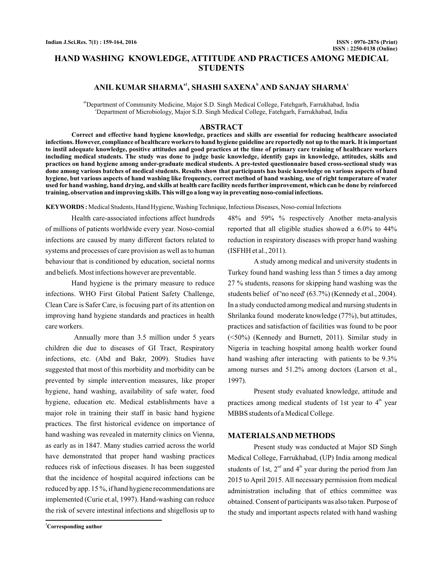# **HAND WASHING KNOWLEDGE, ATTITUDE AND PRACTICES AMONG MEDICAL STUDENTS**

## $A$ NIL KUMAR SHARMA<sup>a1</sup>, SHASHI SAXENA<sup>b</sup> AND SANJAY SHARMA<sup>c</sup>

<sup>ab</sup>Department of Community Medicine, Major S.D. Singh Medical College, Fatehgarh, Farrukhabad, India c Department of Microbiology, Major S.D. Singh Medical College, Fatehgarh, Farrukhabad, India

## **ABSTRACT**

**Correct and effective hand hygiene knowledge, practices and skills are essential for reducing healthcare associated infections. However, compliance of healthcare workers to hand hygiene guideline are reportedly not up to the mark. It is important to instil adequate knowledge, positive attitudes and good practices at the time of primary care training of healthcare workers including medical students. The study was done to judge basic knowledge, identify gaps in knowledge, attitudes, skills and practices on hand hygiene among under-graduate medical students. A pre-tested questionnaire based cross-sectional study was done among various batches of medical students. Results show that participants has basic knowledge on various aspects of hand hygiene, but various aspects of hand washing like frequency, correct method of hand washing, use of right temperature of water used for hand washing, hand drying, and skills at health care facility needs further improvement, which can be done by reinforced training, observation and improving skills. This will go a long way in preventing noso-comial infections.**

**KEYWORDS :** Medical Students, Hand Hygiene, Washing Technique, Infectious Diseases, Noso-comial Infections

Health care-associated infections affect hundreds of millions of patients worldwide every year. Noso-comial infections are caused by many different factors related to systems and processes of care provision as well as to human behaviour that is conditioned by education, societal norms and beliefs. Most infections however are preventable.

Hand hygiene is the primary measure to reduce infections. WHO First Global Patient Safety Challenge, Clean Care is Safer Care, is focusing part of its attention on improving hand hygiene standards and practices in health care workers.

Annually more than 3.5 million under 5 years children die due to diseases of GI Tract, Respiratory infections, etc. (Abd and Bakr, 2009). Studies have suggested that most of this morbidity and morbidity can be prevented by simple intervention measures, like proper hygiene, hand washing, availability of safe water, food hygiene, education etc. Medical establishments have a major role in training their staff in basic hand hygiene practices. The first historical evidence on importance of hand washing was revealed in maternity clinics on Vienna, as early as in 1847. Many studies carried across the world have demonstrated that proper hand washing practices reduces risk of infectious diseases. It has been suggested that the incidence of hospital acquired infections can be reduced by app. 15 %, if hand hygiene recommendations are implemented (Curie et.al, 1997). Hand-washing can reduce the risk of severe intestinal infections and shigellosis up to

48% and 59% % respectively Another meta-analysis reported that all eligible studies showed a 6.0% to 44% reduction in respiratory diseases with proper hand washing (ISFHH et al., 2011).

A study among medical and university students in Turkey found hand washing less than 5 times a day among 27 % students, reasons for skipping hand washing was the students belief of 'no need' (63.7%) (Kennedy et al., 2004). In a study conducted among medical and nursing students in Shrilanka found moderate knowledge (77%), but attitudes, practices and satisfaction of facilities was found to be poor (<50%) (Kennedy and Burnett, 2011). Similar study in Nigeria in teaching hospital among health worker found hand washing after interacting with patients to be 9.3% among nurses and 51.2% among doctors (Larson et al., 1997).

Present study evaluated knowledge, attitude and practices among medical students of 1st year to 4<sup>th</sup> year MBBS students of a Medical College.

## **MATERIALSAND METHODS**

Present study was conducted at Major SD Singh Medical College, Farrukhabad, (UP) India among medical students of 1st,  $2<sup>nd</sup>$  and  $4<sup>th</sup>$  year during the period from Jan 2015 to April 2015. All necessary permission from medical administration including that of ethics committee was obtained. Consent of participants was also taken. Purpose of the study and important aspects related with hand washing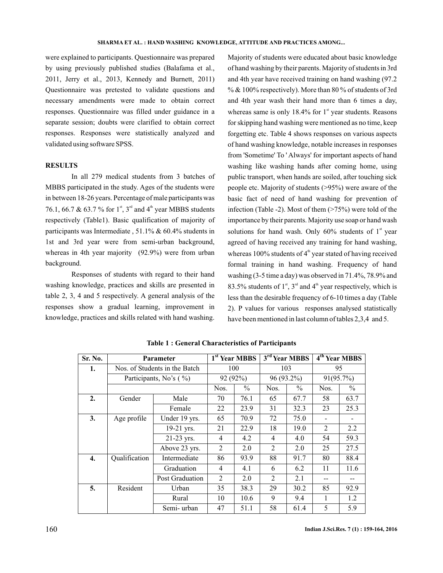were explained to participants. Questionnaire was prepared by using previously published studies (Balafama et al., 2011, Jerry et al., 2013, Kennedy and Burnett, 2011) Questionnaire was pretested to validate questions and necessary amendments were made to obtain correct responses. Questionnaire was filled under guidance in a separate session; doubts were clarified to obtain correct responses. Responses were statistically analyzed and validated using software SPSS.

#### **RESULTS**

In all 279 medical students from 3 batches of MBBS participated in the study. Ages of the students were in between 18-26 years. Percentage of male participants was 76.1, 66.7 & 63.7 % for  $1^{\text{st}}$ , 3<sup>rd</sup> and 4<sup>th</sup> year MBBS students respectively (Table1). Basic qualification of majority of participants was Intermediate , 51.1% & 60.4% students in 1st and 3rd year were from semi-urban background, whereas in 4th year majority (92.9%) were from urban background.

Responses of students with regard to their hand washing knowledge, practices and skills are presented in table 2, 3, 4 and 5 respectively. A general analysis of the responses show a gradual learning, improvement in knowledge, practices and skills related with hand washing.

Majority of students were educated about basic knowledge of hand washing by their parents. Majority of students in 3rd and 4th year have received training on hand washing (97.2 %  $\&$  100% respectively). More than 80 % of students of 3rd and 4th year wash their hand more than 6 times a day, whereas same is only  $18.4\%$  for  $1<sup>st</sup>$  year students. Reasons for skipping hand washing were mentioned as no time, keep forgetting etc. Table 4 shows responses on various aspects of hand washing knowledge, notable increases in responses from 'Sometime' To ' Always' for important aspects of hand washing like washing hands after coming home, using public transport, when hands are soiled, after touching sick people etc. Majority of students (>95%) were aware of the basic fact of need of hand washing for prevention of infection (Table -2). Most of them  $($ >75%) were told of the importance by their parents. Majority use soap or hand wash solutions for hand wash. Only  $60\%$  students of  $1<sup>st</sup>$  year agreed of having received any training for hand washing, whereas 100% students of  $4<sup>th</sup>$  year stated of having received formal training in hand washing. Frequency of hand washing (3-5 time a day) was observed in 71.4%, 78.9% and 83.5% students of  $1<sup>st</sup>$ ,  $3<sup>rd</sup>$  and  $4<sup>th</sup>$  year respectively, which is less than the desirable frequency of 6-10 times a day (Table 2). P values for various responses analysed statistically have been mentioned in last column of tables 2,3,4 and 5.

| Sr. No. | <b>Parameter</b>              |                 | 1 <sup>st</sup> Year MBBS | 3 <sup>rd</sup> Year MBBS |                | 4 <sup>th</sup> Year MBBS |      |      |
|---------|-------------------------------|-----------------|---------------------------|---------------------------|----------------|---------------------------|------|------|
| 1.      | Nos. of Students in the Batch | 100             |                           | 103                       |                | 95                        |      |      |
|         | Participants, No's (%)        | 92 (92%)        |                           | 96 (93.2%)                |                | 91(95.7%)                 |      |      |
|         |                               | Nos.            | $\frac{0}{0}$             | Nos.                      | $\%$           | Nos.                      | $\%$ |      |
| 2.      | Gender                        | Male            | 70                        | 76.1                      | 65             | 67.7                      | 58   | 63.7 |
|         |                               | Female          | 22                        | 23.9                      | 31             | 32.3                      | 23   | 25.3 |
| 3.      | Age profile                   | Under 19 yrs.   | 65                        | 70.9                      | 72             | 75.0                      |      |      |
|         |                               | 19-21 yrs.      | 21                        | 22.9                      | 18             | 19.0                      | 2    | 2.2  |
|         |                               | 21-23 yrs.      | $\overline{4}$            | 4.2                       | $\overline{4}$ | 4.0                       | 54   | 59.3 |
|         |                               | Above 23 yrs.   | 2                         | 2.0                       | $\mathfrak{D}$ | 2.0                       | 25   | 27.5 |
| 4.      | Qualification                 | Intermediate    | 86                        | 93.9                      | 88             | 91.7                      | 80   | 88.4 |
|         |                               | Graduation      | 4                         | 4.1                       | 6              | 6.2                       | 11   | 11.6 |
|         |                               | Post Graduation | $\mathfrak{D}$            | 2.0                       | 2              | 2.1                       |      |      |
| 5.      | Resident                      | Urban           | 35                        | 38.3                      | 29             | 30.2                      | 85   | 92.9 |
|         |                               | Rural           | 10                        | 10.6                      | 9              | 9.4                       | 1    | 1.2  |
|         |                               | Semi-urban      | 47                        | 51.1                      | 58             | 61.4                      | 5    | 5.9  |

**Table 1 : General Characteristics of Participants**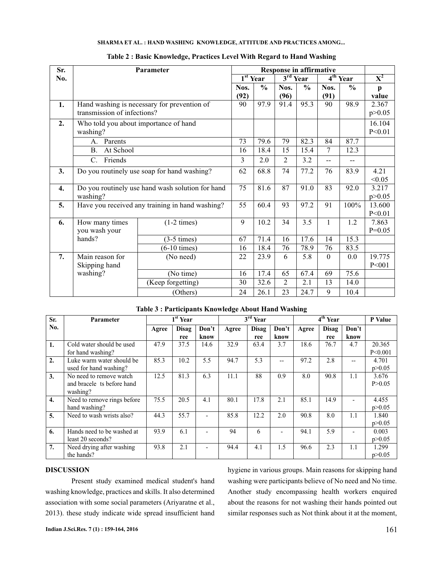## **SHARMA ET AL. : HAND WASHING KNOWLEDGE, ATTITUDE AND PRACTICES AMONG...**

| Sr. | <b>Response in affirmative</b><br>Parameter      |                                                 |      |                              |                |                |              |               |                |
|-----|--------------------------------------------------|-------------------------------------------------|------|------------------------------|----------------|----------------|--------------|---------------|----------------|
| No. |                                                  |                                                 |      | $\overline{1}^{\rm st}$ Year |                | $3rd$ Year     |              | $4th$ Year    | $\mathbf{X}^2$ |
|     |                                                  |                                                 | Nos. | $\frac{6}{6}$                | Nos.           | $\frac{0}{0}$  | Nos.         | $\frac{6}{6}$ | $\mathbf{p}$   |
|     |                                                  |                                                 | (92) |                              | (96)           |                | (91)         |               | value          |
| 1.  | Hand washing is necessary for prevention of      | 90                                              | 97.9 | 91.4                         | 95.3           | 90             | 98.9         | 2.367         |                |
|     | transmission of infections?                      |                                                 |      |                              |                |                |              |               | p > 0.05       |
| 2.  |                                                  | Who told you about importance of hand           |      |                              |                |                |              |               | 16.104         |
|     | washing?                                         |                                                 |      |                              |                |                |              |               | P < 0.01       |
|     | Parents<br>А.                                    |                                                 | 73   | 79.6                         | 79             | 82.3           | 84           | 87.7          |                |
|     | <b>B.</b><br>At School                           |                                                 |      |                              |                | 15.4           | 7            | 12.3          |                |
|     | Friends<br>$C_{\cdot}$                           | 3                                               | 2.0  | 2                            | 3.2            | $\overline{a}$ | $-$          |               |                |
| 3.  | Do you routinely use soap for hand washing?      | 62                                              | 68.8 | 74                           | 77.2           | 76             | 83.9         | 4.21          |                |
|     |                                                  | 75                                              | 81.6 |                              |                |                |              | < 0.05        |                |
| 4.  | Do you routinely use hand wash solution for hand |                                                 |      |                              | 87             | 91.0           | 83           | 92.0          | 3.217          |
|     | washing?                                         |                                                 |      |                              |                |                |              | p > 0.05      |                |
| 5.  |                                                  | Have you received any training in hand washing? | 55   | 60.4                         | 93             | 97.2           | 91           | 100%          | 13.600         |
|     |                                                  |                                                 |      |                              |                |                |              |               | P < 0.01       |
| 6.  | How many times                                   | $(1-2 \times)$                                  | 9    | 10.2                         | 34             | 3.5            | $\mathbf{1}$ | 1.2           | 7.863          |
|     | you wash your                                    |                                                 |      |                              |                |                |              |               | $P=0.05$       |
|     | hands?                                           | $(3-5 \times)$                                  | 67   | 71.4                         | 16             | 17.6           | 14           | 15.3          |                |
|     |                                                  | $(6-10 \times)$                                 | 16   | 18.4                         | 76             | 78.9           | 76           | 83.5          |                |
| 7.  | Main reason for                                  | (No need)                                       | 22   | 23.9                         | 6              | 5.8            | $\theta$     | 0.0           | 19.775         |
|     | Skipping hand                                    |                                                 |      |                              |                |                |              |               | P < 001        |
|     | washing?                                         | (No time)                                       | 16   | 17.4                         | 65             | 67.4           | 69           | 75.6          |                |
|     |                                                  | (Keep forgetting)                               | 30   | 32.6                         | $\overline{2}$ | 2.1            | 13           | 14.0          |                |
|     |                                                  | (Others)                                        | 24   | 26.1                         | 23             | 24.7           | 9            | 10.4          |                |

| Table 2: Basic Knowledge, Practices Level With Regard to Hand Washing |  |  |
|-----------------------------------------------------------------------|--|--|
|                                                                       |  |  |

| Sr.              | Parameter                                                         |       | $1st$ Year   |               | $3rd$ Year |              |               | 4 <sup>th</sup> Year |                     |               | P Value             |
|------------------|-------------------------------------------------------------------|-------|--------------|---------------|------------|--------------|---------------|----------------------|---------------------|---------------|---------------------|
| No.              |                                                                   | Agree | Disag<br>ree | Don't<br>know | Agree      | Disag<br>ree | Don't<br>know | Agree                | <b>Disag</b><br>ree | Don't<br>know |                     |
| 1.               | Cold water should be used<br>for hand washing?                    | 47.9  | 37.5         | 14.6          | 32.9       | 63.4         | 3.7           | 18.6                 | 76.7                | 4.7           | 20.365<br>P < 0.001 |
| 2.               | Luke warm water should be<br>used for hand washing?               | 85.3  | 10.2         | 5.5           | 94.7       | 5.3          | --            | 97.2                 | 2.8                 | --            | 4.701<br>p > 0.05   |
| $\overline{3}$ . | No need to remove watch<br>and bracele ts before hand<br>washing? | 12.5  | 81.3         | 6.3           | 11.1       | 88           | 0.9           | 8.0                  | 90.8                | 1.1           | 3.676<br>P > 0.05   |
| $\overline{4}$ . | Need to remove rings before<br>hand washing?                      | 75.5  | 20.5         | 4.1           | 80.1       | 17.8         | 2.1           | 85.1                 | 14.9                |               | 4.455<br>p > 0.05   |
| 5.               | Need to wash wrists also?                                         | 44.3  | 55.7         |               | 85.8       | 12.2         | 2.0           | 90.8                 | 8.0                 | 1.1           | 1.840<br>p > 0.05   |
| 6.               | Hands need to be washed at<br>least 20 seconds?                   | 93.9  | 6.1          |               | 94         | 6            |               | 94.1                 | 5.9                 |               | 0.003<br>p > 0.05   |
| 7.               | Need drying after washing<br>the hands?                           | 93.8  | 2.1          |               | 94.4       | 4.1          | 1.5           | 96.6                 | 2.3                 | 1.1           | 1.299<br>p > 0.05   |

## **Table 3 : Participants Knowledge About Hand Washing**

#### **DISCUSSION**

Present study examined medical student's hand washing knowledge, practices and skills. It also determined association with some social parameters (Ariyaratne et al., 2013). these study indicate wide spread insufficient hand

hygiene in various groups. Main reasons for skipping hand washing were participants believe of No need and No time. Another study encompassing health workers enquired about the reasons for not washing their hands pointed out similar responses such as Not think about it at the moment,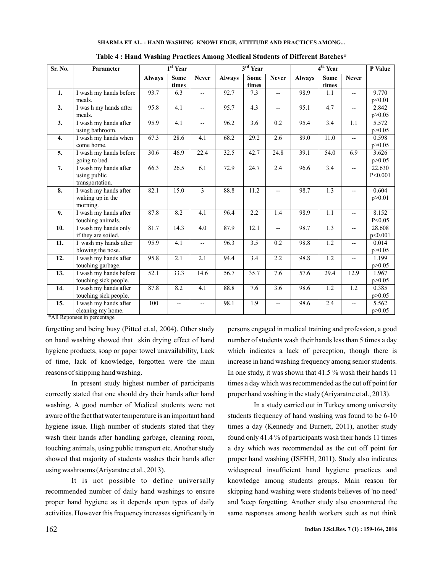|  | SHARMA ET AL.: HAND WASHING KNOWLEDGE, ATTITUDE AND PRACTICES AMONG |
|--|---------------------------------------------------------------------|
|--|---------------------------------------------------------------------|

| Sr. No.          | Parameter                                                |               | $1st$ Year    |                |               | $3rd$ Year    |                          | 4 <sup>th</sup> Year |                      |                          | P Value           |
|------------------|----------------------------------------------------------|---------------|---------------|----------------|---------------|---------------|--------------------------|----------------------|----------------------|--------------------------|-------------------|
|                  |                                                          | <b>Always</b> | Some<br>times | <b>Never</b>   | <b>Always</b> | Some<br>times | <b>Never</b>             | <b>Always</b>        | <b>Some</b><br>times | <b>Never</b>             |                   |
| 1.               | I wash my hands before<br>meals.                         | 93.7          | 6.3           | $-$            | 92.7          | 7.3           | $- -$                    | 98.9                 | 1.1                  | $\overline{\phantom{a}}$ | 9.770<br>p<0.01   |
| 2.               | I was h my hands after<br>meals.                         | 95.8          | 4.1           | $-$            | 95.7          | 4.3           | $\overline{\phantom{a}}$ | 95.1                 | 4.7                  | Ξ.                       | 2.842<br>p > 0.05 |
| 3.               | I wash my hands after<br>using bathroom.                 | 95.9          | 4.1           | $-$            | 96.2          | 3.6           | 0.2                      | 95.4                 | 3.4                  | 1.1                      | 5.572<br>p > 0.05 |
| $\overline{4}$ . | I wash my hands when<br>come home.                       | 67.3          | 28.6          | 4.1            | 68.2          | 29.2          | 2.6                      | 89.0                 | 11.0                 | Ξ.                       | 0.598<br>p > 0.05 |
| 5.               | I wash my hands before<br>going to bed.                  | 30.6          | 46.9          | 22.4           | 32.5          | 42.7          | 24.8                     | 39.1                 | 54.0                 | 6.9                      | 3.626<br>p > 0.05 |
| 7.               | I wash my hands after<br>using public<br>transportation. | 66.3          | 26.5          | 6.1            | 72.9          | 24.7          | 2.4                      | 96.6                 | 3.4                  | $\qquad \qquad -$        | 22.630<br>P<0.001 |
| 8.               | I wash my hands after<br>waking up in the<br>morning.    | 82.1          | 15.0          | $\overline{3}$ | 88.8          | 11.2          | $- -$                    | 98.7                 | 1.3                  |                          | 0.604<br>p > 0.01 |
| 9.               | I wash my hands after<br>touching animals.               | 87.8          | 8.2           | 4.1            | 96.4          | 2.2           | 1.4                      | 98.9                 | $\overline{1.1}$     | -−                       | 8.152<br>P < 0.05 |
| 10.              | I wash my hands only<br>if they are soiled.              | 81.7          | 14.3          | 4.0            | 87.9          | 12.1          | $-$                      | 98.7                 | 1.3                  | --                       | 28.608<br>p<0.001 |
| 11.              | I wash my hands after<br>blowing the nose.               | 95.9          | 4.1           | $-$            | 96.3          | 3.5           | 0.2                      | 98.8                 | 1.2                  | --                       | 0.014<br>p > 0.05 |
| 12.              | I wash my hands after<br>touching garbage.               | 95.8          | 2.1           | 2.1            | 94.4          | 3.4           | 2.2                      | 98.8                 | 1.2                  | --                       | 1.199<br>p > 0.05 |
| 13.              | I wash my hands before<br>touching sick people.          | 52.1          | 33.3          | 14.6           | 56.7          | 35.7          | 7.6                      | 57.6                 | 29.4                 | 12.9                     | 1.967<br>p > 0.05 |
| 14.              | I wash my hands after<br>touching sick people.           | 87.8          | 8.2           | 4.1            | 88.8          | 7.6           | 3.6                      | 98.6                 | 1.2                  | $\overline{1.2}$         | 0.385<br>p > 0.05 |
| 15.              | I wash my hands after<br>cleaning my home.               | 100           | --            |                | 98.1          | 1.9           |                          | 98.6                 | 2.4                  | -−                       | 5.562<br>p > 0.05 |

**Table 4 : Hand Washing Practices Among Medical Students of Different Batches\***

\*All Reponses in percentage

forgetting and being busy (Pitted et.al, 2004). Other study on hand washing showed that skin drying effect of hand hygiene products, soap or paper towel unavailability, Lack of time, lack of knowledge, forgotten were the main reasons of skipping hand washing.

In present study highest number of participants correctly stated that one should dry their hands after hand washing. A good number of Medical students were not aware of the fact that water temperature is an important hand hygiene issue. High number of students stated that they wash their hands after handling garbage, cleaning room, touching animals, using public transport etc. Another study showed that majority of students washes their hands after using washrooms (Ariyaratne et al., 2013).

It is not possible to define universally recommended number of daily hand washings to ensure proper hand hygiene as it depends upon types of daily activities. However this frequency increases significantly in persons engaged in medical training and profession, a good number of students wash their hands less than 5 times a day which indicates a lack of perception, though there is increase in hand washing frequency among senior students. In one study, it was shown that 41.5 % wash their hands 11 times a day which was recommended as the cut off point for proper hand washing in the study (Ariyaratne et al., 2013).

In a study carried out in Turkey among university students frequency of hand washing was found to be 6-10 times a day (Kennedy and Burnett, 2011), another study found only 41.4 % of participants wash their hands 11 times a day which was recommended as the cut off point for proper hand washing (ISFHH, 2011). Study also indicates widespread insufficient hand hygiene practices and knowledge among students groups. Main reason for skipping hand washing were students believes of 'no need' and 'keep forgetting. Another study also encountered the same responses among health workers such as not think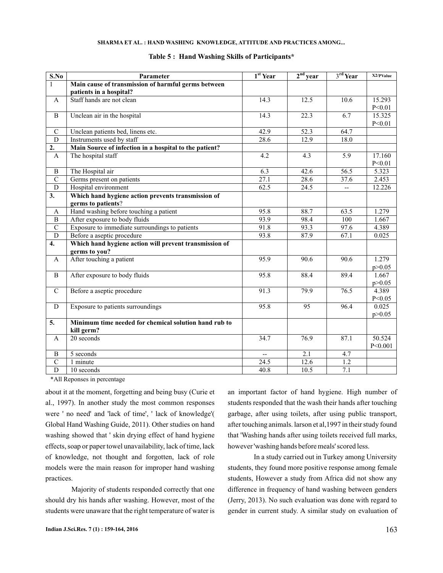#### **SHARMA ET AL. : HAND WASHING KNOWLEDGE, ATTITUDE AND PRACTICES AMONG...**

| S.No             | Parameter                                                               | 1 <sup>st</sup> Year     | $2nd$ year        | 3rd Year         | X2/PValue |
|------------------|-------------------------------------------------------------------------|--------------------------|-------------------|------------------|-----------|
| $\mathbf{1}$     | Main cause of transmission of harmful germs between                     |                          |                   |                  |           |
|                  | patients in a hospital?                                                 |                          |                   |                  |           |
| $\mathbf{A}$     | Staff hands are not clean                                               | 14.3                     | 12.5              | 10.6             | 15.293    |
|                  |                                                                         |                          |                   |                  | P<0.01    |
| $\, {\bf B}$     | Unclean air in the hospital                                             | 14.3                     | $\overline{22.3}$ | 6.7              | 15.325    |
|                  |                                                                         |                          |                   |                  | P<0.01    |
| ${\bf C}$        | Unclean patients bed, linens etc.                                       | 42.9                     | $\overline{52.3}$ | 64.7             |           |
| D                | Instruments used by staff                                               | 28.6                     | 12.9              | 18.0             |           |
| 2.               | Main Source of infection in a hospital to the patient?                  |                          |                   |                  |           |
| A                | The hospital staff                                                      | 4.2                      | 4.3               | 5.9              | 17.160    |
|                  |                                                                         |                          |                   |                  | P<0.01    |
| $\, {\bf B}$     | The Hospital air                                                        | 6.3                      | 42.6              | 56.5             | 5.323     |
| $\overline{C}$   | Germs present on patients                                               | 27.1                     | 28.6              | 37.6             | 2.453     |
| $\overline{D}$   | Hospital environment                                                    | 62.5                     | 24.5              | --               | 12.226    |
| 3.               | Which hand hygiene action prevents transmission of                      |                          |                   |                  |           |
|                  | germs to patients?                                                      |                          |                   |                  |           |
| $\mathbf{A}$     | Hand washing before touching a patient                                  | 95.8                     | 88.7              | 63.5             | 1.279     |
| $\, {\bf B}$     | After exposure to body fluids                                           | 93.9                     | 98.4              | 100              | 1.667     |
| $\overline{C}$   | Exposure to immediate surroundings to patients                          | 91.8                     | 93.3              | 97.6             | 4.389     |
| $\overline{D}$   | Before a aseptic procedure                                              | 93.8                     | 87.9              | 67.1             | 0.025     |
| $\overline{4}$ . | Which hand hygiene action will prevent transmission of<br>germs to you? |                          |                   |                  |           |
| A                | After touching a patient                                                | 95.9                     | 90.6              | 90.6             | 1.279     |
|                  |                                                                         |                          |                   |                  | p > 0.05  |
| B                | After exposure to body fluids                                           | 95.8                     | 88.4              | 89.4             | 1.667     |
|                  |                                                                         |                          |                   |                  | p > 0.05  |
| $\mathbf C$      | Before a aseptic procedure                                              | 91.3                     | 79.9              | 76.5             | 4.389     |
|                  |                                                                         |                          |                   |                  | P<0.05    |
| D                | Exposure to patients surroundings                                       | 95.8                     | 95                | 96.4             | 0.025     |
|                  |                                                                         |                          |                   |                  | p > 0.05  |
| $\overline{5}$ . | Minimum time needed for chemical solution hand rub to                   |                          |                   |                  |           |
|                  | kill germ?                                                              |                          |                   |                  |           |
| A                | 20 seconds                                                              | 34.7                     | 76.9              | 87.1             | 50.524    |
|                  |                                                                         |                          |                   |                  | P<0.001   |
| B                | 5 seconds                                                               | $\overline{\phantom{a}}$ | $\overline{2.1}$  | 4.7              |           |
| $\mathcal{C}$    | $\overline{1}$ minute                                                   | 24.5                     | 12.6              | $1.\overline{2}$ |           |
| $\overline{D}$   | 10 seconds                                                              | 40.8                     | 10.5              | 7.1              |           |

#### **Table 5 : Hand Washing Skills of Participants\***

\*All Reponses in percentage

about it at the moment, forgetting and being busy (Curie et al., 1997). In another study the most common responses were ' no need' and 'lack of time', ' lack of knowledge'( Global Hand Washing Guide, 2011). Other studies on hand washing showed that ' skin drying effect of hand hygiene effects, soap or paper towel unavailability, lack of time, lack of knowledge, not thought and forgotten, lack of role models were the main reason for improper hand washing practices.

Majority of students responded correctly that one should dry his hands after washing. However, most of the students were unaware that the right temperature of water is an important factor of hand hygiene. High number of students responded that the wash their hands after touching garbage, after using toilets, after using public transport, after touching animals. larson et al,1997 in their study found that 'Washing hands after using toilets received full marks, however 'washing hands before meals' scored less.

In a study carried out in Turkey among University students, they found more positive response among female students, However a study from Africa did not show any difference in frequency of hand washing between genders (Jerry, 2013). No such evaluation was done with regard to gender in current study. A similar study on evaluation of